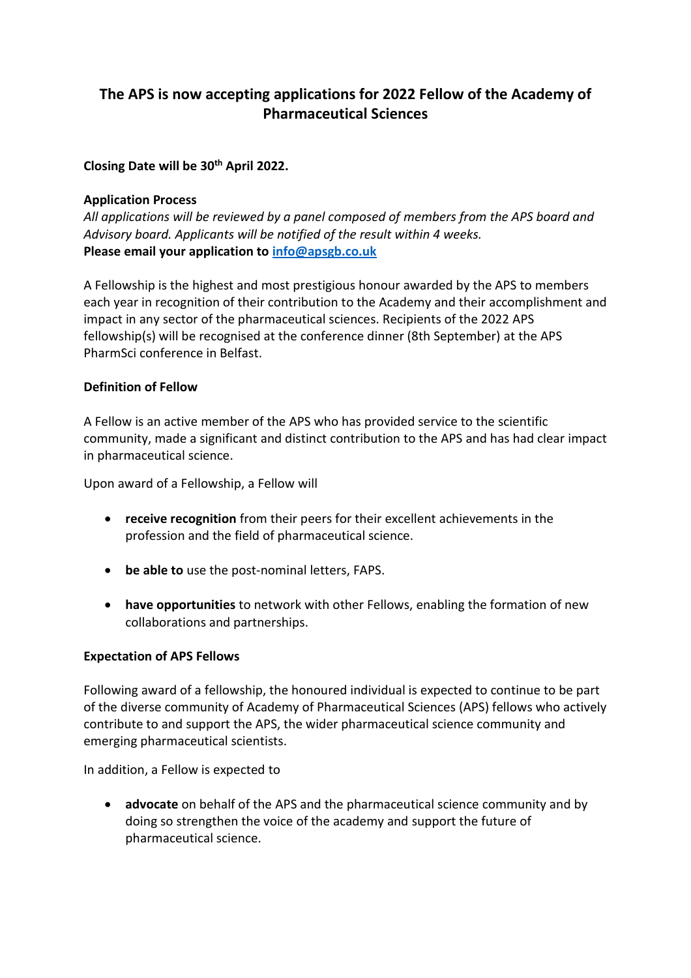# **The APS is now accepting applications for 2022 Fellow of the Academy of Pharmaceutical Sciences**

## **Closing Date will be 30th April 2022.**

#### **Application Process**

*All applications will be reviewed by a panel composed of members from the APS board and Advisory board. Applicants will be notified of the result within 4 weeks.* **Please email your application to [info@apsgb.co.uk](mailto:info@apsgb.co.uk)**

A Fellowship is the highest and most prestigious honour awarded by the APS to members each year in recognition of their contribution to the Academy and their accomplishment and impact in any sector of the pharmaceutical sciences. Recipients of the 2022 APS fellowship(s) will be recognised at the conference dinner (8th September) at the APS PharmSci conference in Belfast.

## **Definition of Fellow**

A Fellow is an active member of the APS who has provided service to the scientific community, made a significant and distinct contribution to the APS and has had clear impact in pharmaceutical science.

Upon award of a Fellowship, a Fellow will

- **receive recognition** from their peers for their excellent achievements in the profession and the field of pharmaceutical science.
- **be able to** use the post-nominal letters, FAPS.
- **have opportunities** to network with other Fellows, enabling the formation of new collaborations and partnerships.

## **Expectation of APS Fellows**

Following award of a fellowship, the honoured individual is expected to continue to be part of the diverse community of Academy of Pharmaceutical Sciences (APS) fellows who actively contribute to and support the APS, the wider pharmaceutical science community and emerging pharmaceutical scientists.

In addition, a Fellow is expected to

• **advocate** on behalf of the APS and the pharmaceutical science community and by doing so strengthen the voice of the academy and support the future of pharmaceutical science.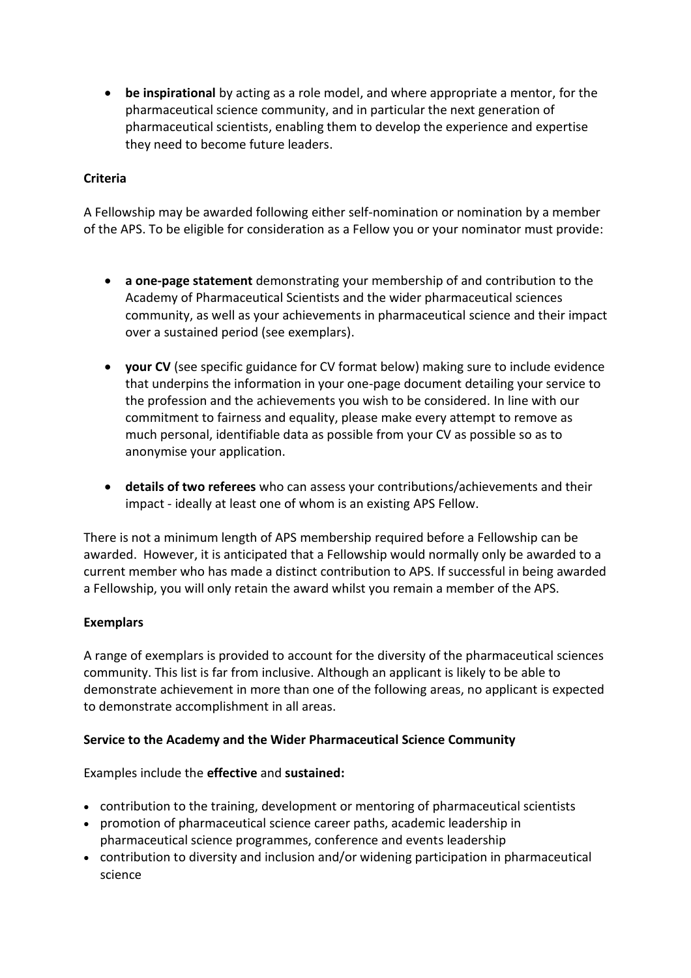• **be inspirational** by acting as a role model, and where appropriate a mentor, for the pharmaceutical science community, and in particular the next generation of pharmaceutical scientists, enabling them to develop the experience and expertise they need to become future leaders.

## **Criteria**

A Fellowship may be awarded following either self-nomination or nomination by a member of the APS. To be eligible for consideration as a Fellow you or your nominator must provide:

- **a one-page statement** demonstrating your membership of and contribution to the Academy of Pharmaceutical Scientists and the wider pharmaceutical sciences community, as well as your achievements in pharmaceutical science and their impact over a sustained period (see exemplars).
- **your CV** (see specific guidance for CV format below) making sure to include evidence that underpins the information in your one-page document detailing your service to the profession and the achievements you wish to be considered. In line with our commitment to fairness and equality, please make every attempt to remove as much personal, identifiable data as possible from your CV as possible so as to anonymise your application.
- **details of two referees** who can assess your contributions/achievements and their impact - ideally at least one of whom is an existing APS Fellow.

There is not a minimum length of APS membership required before a Fellowship can be awarded. However, it is anticipated that a Fellowship would normally only be awarded to a current member who has made a distinct contribution to APS. If successful in being awarded a Fellowship, you will only retain the award whilst you remain a member of the APS.

# **Exemplars**

A range of exemplars is provided to account for the diversity of the pharmaceutical sciences community. This list is far from inclusive. Although an applicant is likely to be able to demonstrate achievement in more than one of the following areas, no applicant is expected to demonstrate accomplishment in all areas.

## **Service to the Academy and the Wider Pharmaceutical Science Community**

Examples include the **effective** and **sustained:**

- contribution to the training, development or mentoring of pharmaceutical scientists
- promotion of pharmaceutical science career paths, academic leadership in pharmaceutical science programmes, conference and events leadership
- contribution to diversity and inclusion and/or widening participation in pharmaceutical science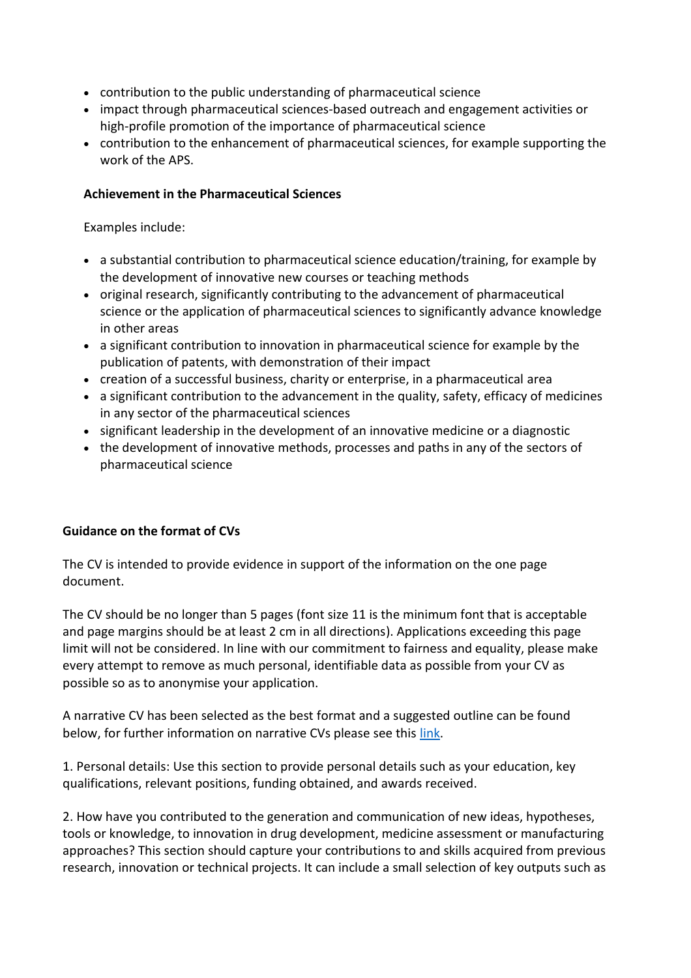- contribution to the public understanding of pharmaceutical science
- impact through pharmaceutical sciences-based outreach and engagement activities or high-profile promotion of the importance of pharmaceutical science
- contribution to the enhancement of pharmaceutical sciences, for example supporting the work of the APS.

# **Achievement in the Pharmaceutical Sciences**

Examples include:

- a substantial contribution to pharmaceutical science education/training, for example by the development of innovative new courses or teaching methods
- original research, significantly contributing to the advancement of pharmaceutical science or the application of pharmaceutical sciences to significantly advance knowledge in other areas
- a significant contribution to innovation in pharmaceutical science for example by the publication of patents, with demonstration of their impact
- creation of a successful business, charity or enterprise, in a pharmaceutical area
- a significant contribution to the advancement in the quality, safety, efficacy of medicines in any sector of the pharmaceutical sciences
- significant leadership in the development of an innovative medicine or a diagnostic
- the development of innovative methods, processes and paths in any of the sectors of pharmaceutical science

# **Guidance on the format of CVs**

The CV is intended to provide evidence in support of the information on the one page document.

The CV should be no longer than 5 pages (font size 11 is the minimum font that is acceptable and page margins should be at least 2 cm in all directions). Applications exceeding this page limit will not be considered. In line with our commitment to fairness and equality, please make every attempt to remove as much personal, identifiable data as possible from your CV as possible so as to anonymise your application.

A narrative CV has been selected as the best format and a suggested outline can be found below, for further information on narrative CVs please see this [link.](https://sway.office.com/5tmt8Ou5fdD9AtEV?ref=Link)

1. Personal details: Use this section to provide personal details such as your education, key qualifications, relevant positions, funding obtained, and awards received.

2. How have you contributed to the generation and communication of new ideas, hypotheses, tools or knowledge, to innovation in drug development, medicine assessment or manufacturing approaches? This section should capture your contributions to and skills acquired from previous research, innovation or technical projects. It can include a small selection of key outputs such as